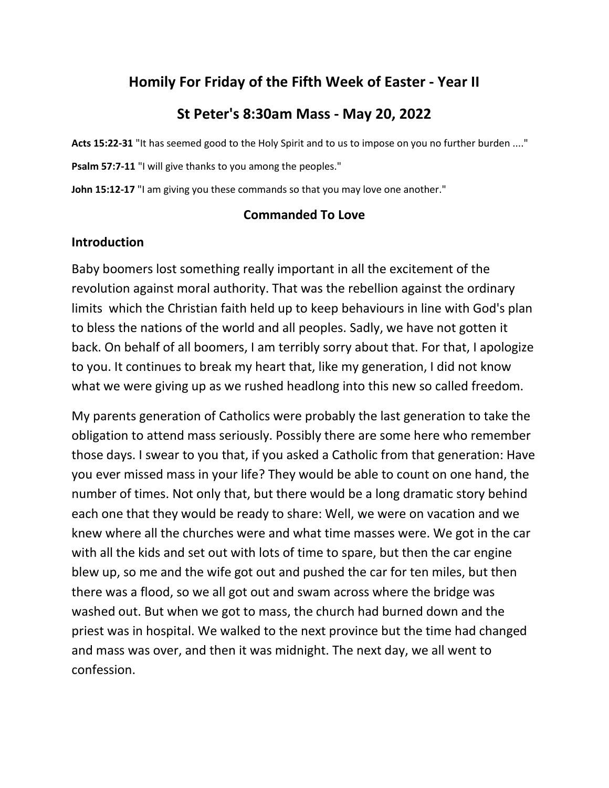# **Homily For Friday of the Fifth Week of Easter - Year II**

# **St Peter's 8:30am Mass - May 20, 2022**

**Acts 15:22-31** "It has seemed good to the Holy Spirit and to us to impose on you no further burden ...."

Psalm 57:7-11 "I will give thanks to you among the peoples."

John 15:12-17 "I am giving you these commands so that you may love one another."

#### **Commanded To Love**

#### **Introduction**

Baby boomers lost something really important in all the excitement of the revolution against moral authority. That was the rebellion against the ordinary limits which the Christian faith held up to keep behaviours in line with God's plan to bless the nations of the world and all peoples. Sadly, we have not gotten it back. On behalf of all boomers, I am terribly sorry about that. For that, I apologize to you. It continues to break my heart that, like my generation, I did not know what we were giving up as we rushed headlong into this new so called freedom.

My parents generation of Catholics were probably the last generation to take the obligation to attend mass seriously. Possibly there are some here who remember those days. I swear to you that, if you asked a Catholic from that generation: Have you ever missed mass in your life? They would be able to count on one hand, the number of times. Not only that, but there would be a long dramatic story behind each one that they would be ready to share: Well, we were on vacation and we knew where all the churches were and what time masses were. We got in the car with all the kids and set out with lots of time to spare, but then the car engine blew up, so me and the wife got out and pushed the car for ten miles, but then there was a flood, so we all got out and swam across where the bridge was washed out. But when we got to mass, the church had burned down and the priest was in hospital. We walked to the next province but the time had changed and mass was over, and then it was midnight. The next day, we all went to confession.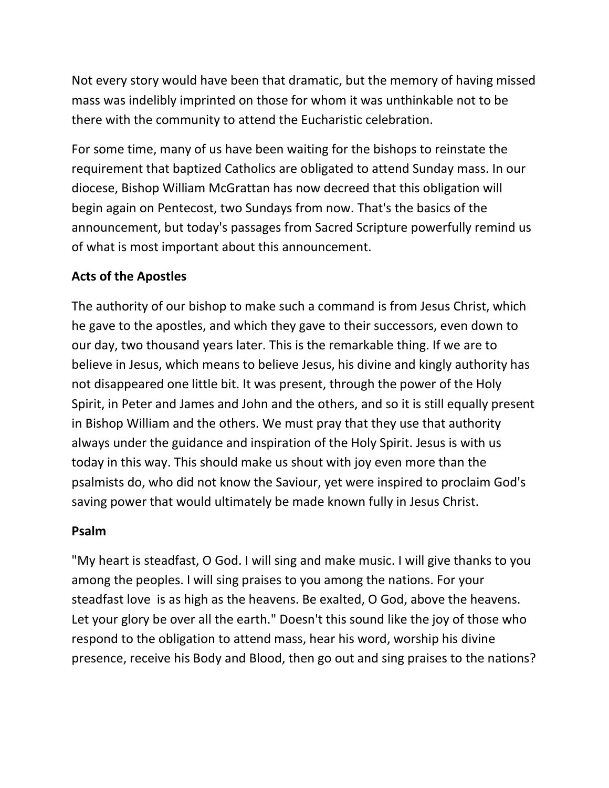Not every story would have been that dramatic, but the memory of having missed mass was indelibly imprinted on those for whom it was unthinkable not to be there with the community to attend the Eucharistic celebration.

For some time, many of us have been waiting for the bishops to reinstate the requirement that baptized Catholics are obligated to attend Sunday mass. In our diocese, Bishop William McGrattan has now decreed that this obligation will begin again on Pentecost, two Sundays from now. That's the basics of the announcement, but today's passages from Sacred Scripture powerfully remind us of what is most important about this announcement.

## **Acts of the Apostles**

The authority of our bishop to make such a command is from Jesus Christ, which he gave to the apostles, and which they gave to their successors, even down to our day, two thousand years later. This is the remarkable thing. If we are to believe in Jesus, which means to believe Jesus, his divine and kingly authority has not disappeared one little bit. It was present, through the power of the Holy Spirit, in Peter and James and John and the others, and so it is still equally present in Bishop William and the others. We must pray that they use that authority always under the guidance and inspiration of the Holy Spirit. Jesus is with us today in this way. This should make us shout with joy even more than the psalmists do, who did not know the Saviour, yet were inspired to proclaim God's saving power that would ultimately be made known fully in Jesus Christ.

### **Psalm**

"My heart is steadfast, O God. I will sing and make music. I will give thanks to you among the peoples. I will sing praises to you among the nations. For your steadfast love is as high as the heavens. Be exalted, O God, above the heavens. Let your glory be over all the earth." Doesn't this sound like the joy of those who respond to the obligation to attend mass, hear his word, worship his divine presence, receive his Body and Blood, then go out and sing praises to the nations?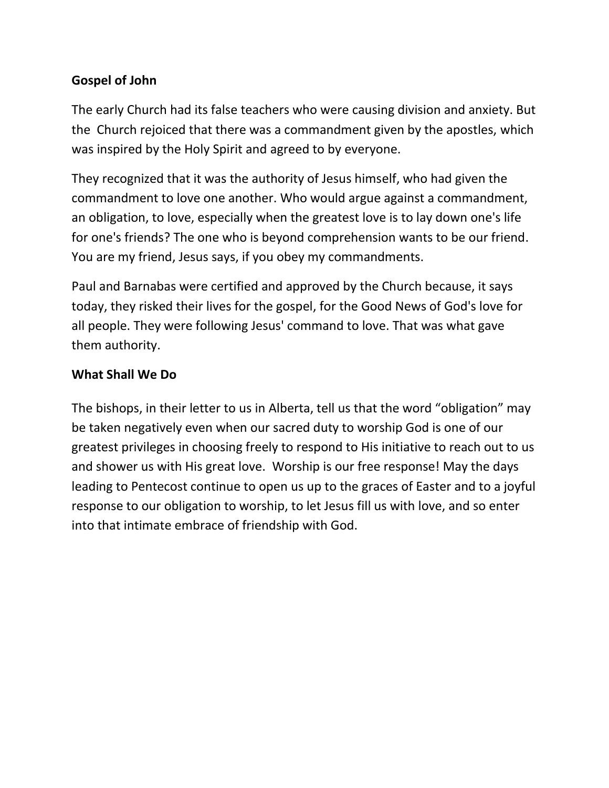## **Gospel of John**

The early Church had its false teachers who were causing division and anxiety. But the Church rejoiced that there was a commandment given by the apostles, which was inspired by the Holy Spirit and agreed to by everyone.

They recognized that it was the authority of Jesus himself, who had given the commandment to love one another. Who would argue against a commandment, an obligation, to love, especially when the greatest love is to lay down one's life for one's friends? The one who is beyond comprehension wants to be our friend. You are my friend, Jesus says, if you obey my commandments.

Paul and Barnabas were certified and approved by the Church because, it says today, they risked their lives for the gospel, for the Good News of God's love for all people. They were following Jesus' command to love. That was what gave them authority.

#### **What Shall We Do**

The bishops, in their letter to us in Alberta, tell us that the word "obligation" may be taken negatively even when our sacred duty to worship God is one of our greatest privileges in choosing freely to respond to His initiative to reach out to us and shower us with His great love. Worship is our free response! May the days leading to Pentecost continue to open us up to the graces of Easter and to a joyful response to our obligation to worship, to let Jesus fill us with love, and so enter into that intimate embrace of friendship with God.